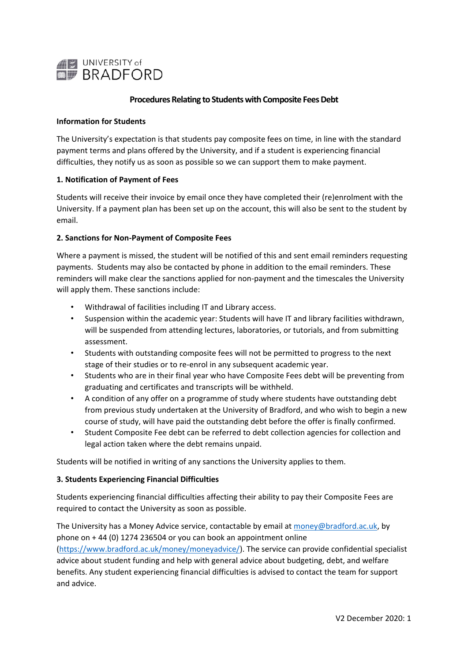

# **Procedures Relating to Students with Composite Fees Debt**

### **Information for Students**

The University's expectation is that students pay composite fees on time, in line with the standard payment terms and plans offered by the University, and if a student is experiencing financial difficulties, they notify us as soon as possible so we can support them to make payment.

#### **1. Notification of Payment of Fees**

Students will receive their invoice by email once they have completed their (re)enrolment with the University. If a payment plan has been set up on the account, this will also be sent to the student by email.

#### **2. Sanctions for Non-Payment of Composite Fees**

Where a payment is missed, the student will be notified of this and sent email reminders requesting payments. Students may also be contacted by phone in addition to the email reminders. These reminders will make clear the sanctions applied for non-payment and the timescales the University will apply them. These sanctions include:

- Withdrawal of facilities including IT and Library access.
- Suspension within the academic year: Students will have IT and library facilities withdrawn, will be suspended from attending lectures, laboratories, or tutorials, and from submitting assessment.
- Students with outstanding composite fees will not be permitted to progress to the next stage of their studies or to re-enrol in any subsequent academic year.
- Students who are in their final year who have Composite Fees debt will be preventing from graduating and certificates and transcripts will be withheld.
- A condition of any offer on a programme of study where students have outstanding debt from previous study undertaken at the University of Bradford, and who wish to begin a new course of study, will have paid the outstanding debt before the offer is finally confirmed.
- Student Composite Fee debt can be referred to debt collection agencies for collection and legal action taken where the debt remains unpaid.

Students will be notified in writing of any sanctions the University applies to them.

## **3. Students Experiencing Financial Difficulties**

Students experiencing financial difficulties affecting their ability to pay their Composite Fees are required to contact the University as soon as possible.

The University has a Money Advice service, contactable by email a[t money@bradford.ac.uk,](mailto:money@bradford.ac.uk) by phone on + 44 (0) 1274 236504 or you can book an appointment online [\(https://www.bradford.ac.uk/money/moneyadvice/\)](https://www.bradford.ac.uk/money/moneyadvice/). The service can provide confidential specialist advice about student funding and help with general advice about budgeting, debt, and welfare benefits. Any student experiencing financial difficulties is advised to contact the team for support and advice.